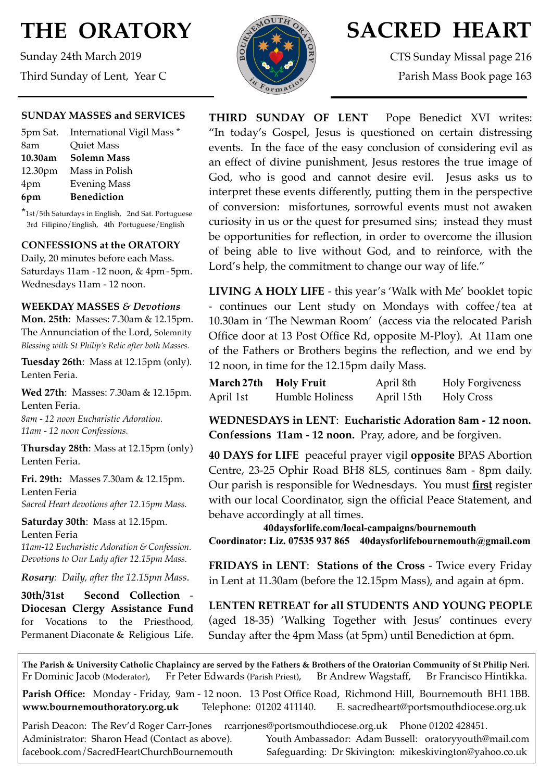# **THE ORATORY**

Sunday 24th March 2019 Third Sunday of Lent, Year C

#### **SUNDAY MASSES and SERVICES**

|         | 5pm Sat. International Vigil Mass * |
|---------|-------------------------------------|
| 8am     | <b>Quiet Mass</b>                   |
| 10.30am | <b>Solemn Mass</b>                  |
| 12.30pm | Mass in Polish                      |
| 4pm     | <b>Evening Mass</b>                 |
| 6pm     | <b>Benediction</b>                  |

\*1st/5th Saturdays in English, 2nd Sat. Portuguese 3rd Filipino/English, 4th Portuguese/English

#### **CONFESSIONS at the ORATORY**

Daily, 20 minutes before each Mass. Saturdays 11am - 12 noon, & 4pm- 5pm. Wednesdays 11am - 12 noon.

#### **WEEKDAY MASSES** *& Devotions*

**Mon. 25th**: Masses: 7.30am & 12.15pm. The Annunciation of the Lord, Solemnity *Blessing with St Philip's Relic after both Masses.*

**Tuesday 26th**: Mass at 12.15pm (only). Lenten Feria.

**Wed 27th**: Masses: 7.30am & 12.15pm. Lenten Feria.

*8am - 12 noon Eucharistic Adoration. 11am - 12 noon Confessions.*

**Thursday 28th**: Mass at 12.15pm (only) Lenten Feria.

**Fri. 29th:** Masses 7.30am & 12.15pm. Lenten Feria *Sacred Heart devotions after 12.15pm Mass.*

**Saturday 30th**: Mass at 12.15pm. Lenten Feria *11am-12 Eucharistic Adoration & Confession. Devotions to Our Lady after 12.15pm Mass.*

*Rosary: Daily, after the 12.15pm Mass*.

**30th/31st Second Collection** - **Diocesan Clergy Assistance Fund** for Vocations to the Priesthood, Permanent Diaconate & Religious Life.



## **SACRED HEART**

CTS Sunday Missal page 216 Parish Mass Book page 163

**THIRD SUNDAY OF LENT** Pope Benedict XVI writes: "In today's Gospel, Jesus is questioned on certain distressing events. In the face of the easy conclusion of considering evil as an effect of divine punishment, Jesus restores the true image of God, who is good and cannot desire evil. Jesus asks us to interpret these events differently, putting them in the perspective of conversion: misfortunes, sorrowful events must not awaken curiosity in us or the quest for presumed sins; instead they must be opportunities for reflection, in order to overcome the illusion of being able to live without God, and to reinforce, with the Lord's help, the commitment to change our way of life."

**LIVING A HOLY LIFE** - this year's 'Walk with Me' booklet topic - continues our Lent study on Mondays with coffee/tea at 10.30am in 'The Newman Room' (access via the relocated Parish Office door at 13 Post Office Rd, opposite M-Ploy). At 11am one of the Fathers or Brothers begins the reflection, and we end by 12 noon, in time for the 12.15pm daily Mass.

| March 27th Holy Fruit |                 | April 8th  | <b>Holy Forgiveness</b> |
|-----------------------|-----------------|------------|-------------------------|
| April 1st             | Humble Holiness | April 15th | <b>Holy Cross</b>       |

**WEDNESDAYS in LENT**: **Eucharistic Adoration 8am - 12 noon. Confessions 11am - 12 noon.** Pray, adore, and be forgiven.

**40 DAYS for LIFE** peaceful prayer vigil **opposite** BPAS Abortion Centre, 23-25 Ophir Road BH8 8LS, continues 8am - 8pm daily. Our parish is responsible for Wednesdays. You must **first** register with our local Coordinator, sign the official Peace Statement, and behave accordingly at all times.

**40daysforlife.com/local-campaigns/bournemouth Coordinator: Liz. 07535 937 865 40daysforlifebournemouth@gmail.com**

**FRIDAYS in LENT**: **Stations of the Cross** - Twice every Friday in Lent at 11.30am (before the 12.15pm Mass), and again at 6pm.

**LENTEN RETREAT for all STUDENTS AND YOUNG PEOPLE**  (aged 18-35) 'Walking Together with Jesus' continues every Sunday after the 4pm Mass (at 5pm) until Benediction at 6pm.

**The Parish & University Catholic Chaplaincy are served by the Fathers & Brothers of the Oratorian Community of St Philip Neri.** Fr Dominic Jacob (Moderator), Fr Peter Edwards (Parish Priest), Br Andrew Wagstaff, Br Francisco Hintikka.

**Parish Office:** Monday - Friday, 9am - 12 noon. 13 Post Office Road, Richmond Hill, Bournemouth BH1 1BB. **[www.bournemouthoratory.org.uk](http://www.bournemoithoratory.org.uk)** Telephone: 01202 411140. E. [sacredheart@portsmouthdiocese.org.uk](mailto:sacredheart@portsmouthdiocese.org.uk)

Parish Deacon: The Rev'd Roger Carr-Jones rcarriones@portsmouthdiocese.org.uk Phone 01202 428451.

Administrator: Sharon Head (Contact as above). Youth Ambassador: Adam Bussell: [oratoryyouth@mail.com](http://oratoryyouth.mail.com) [facebook.com/SacredHeartChurchBournemouth](http://facebook.com/SaccredHeartChurchBournemouth) Safeguarding: Dr Skivington: mikeskivington@yahoo.co.uk